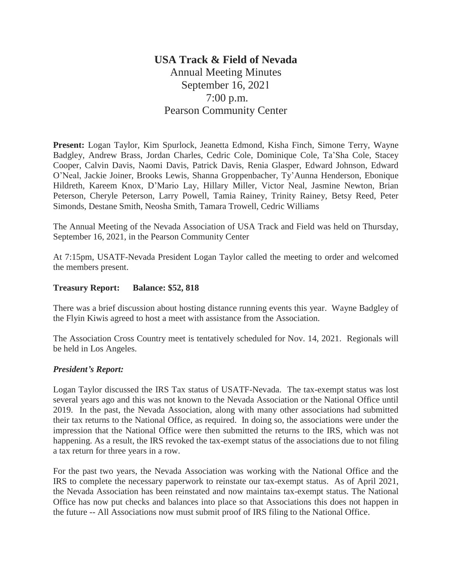## **USA Track & Field of Nevada** Annual Meeting Minutes September 16, 2021 7:00 p.m. Pearson Community Center

**Present:** Logan Taylor, Kim Spurlock, Jeanetta Edmond, Kisha Finch, Simone Terry, Wayne Badgley, Andrew Brass, Jordan Charles, Cedric Cole, Dominique Cole, Ta'Sha Cole, Stacey Cooper, Calvin Davis, Naomi Davis, Patrick Davis, Renia Glasper, Edward Johnson, Edward O'Neal, Jackie Joiner, Brooks Lewis, Shanna Groppenbacher, Ty'Aunna Henderson, Ebonique Hildreth, Kareem Knox, D'Mario Lay, Hillary Miller, Victor Neal, Jasmine Newton, Brian Peterson, Cheryle Peterson, Larry Powell, Tamia Rainey, Trinity Rainey, Betsy Reed, Peter Simonds, Destane Smith, Neosha Smith, Tamara Trowell, Cedric Williams

The Annual Meeting of the Nevada Association of USA Track and Field was held on Thursday, September 16, 2021, in the Pearson Community Center

At 7:15pm, USATF-Nevada President Logan Taylor called the meeting to order and welcomed the members present.

## **Treasury Report: Balance: \$52, 818**

There was a brief discussion about hosting distance running events this year. Wayne Badgley of the Flyin Kiwis agreed to host a meet with assistance from the Association.

The Association Cross Country meet is tentatively scheduled for Nov. 14, 2021. Regionals will be held in Los Angeles.

## *President's Report:*

Logan Taylor discussed the IRS Tax status of USATF-Nevada. The tax-exempt status was lost several years ago and this was not known to the Nevada Association or the National Office until 2019. In the past, the Nevada Association, along with many other associations had submitted their tax returns to the National Office, as required. In doing so, the associations were under the impression that the National Office were then submitted the returns to the IRS, which was not happening. As a result, the IRS revoked the tax-exempt status of the associations due to not filing a tax return for three years in a row.

For the past two years, the Nevada Association was working with the National Office and the IRS to complete the necessary paperwork to reinstate our tax-exempt status. As of April 2021, the Nevada Association has been reinstated and now maintains tax-exempt status. The National Office has now put checks and balances into place so that Associations this does not happen in the future -- All Associations now must submit proof of IRS filing to the National Office.